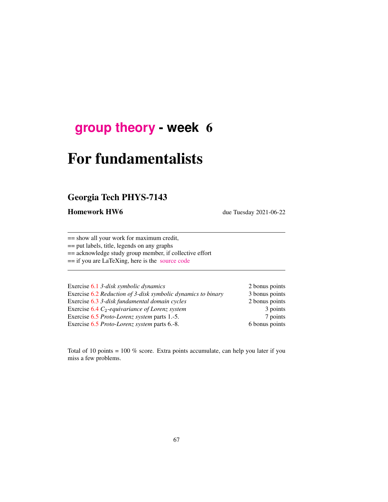## **[group theory](http://birdtracks.eu/course3/schedule.html) - week** 6

# For fundamentalists

## Georgia Tech PHYS-7143

Homework HW6 due Tuesday 2021-06-22

== show all your work for maximum credit,

== put labels, title, legends on any graphs

== acknowledge study group member, if collective effort

== if you are LaTeXing, here is the [source code](http://birdtracks.eu/course3/exerWeek6.tex)

| Exercise 6.1 3-disk symbolic dynamics                        | 2 bonus points |
|--------------------------------------------------------------|----------------|
| Exercise 6.2 Reduction of 3-disk symbolic dynamics to binary | 3 bonus points |
| Exercise 6.3 3-disk fundamental domain cycles                | 2 bonus points |
| Exercise $6.4 C_2$ -equivariance of Lorenz system            | 3 points       |
| Exercise 6.5 <i>Proto-Lorenz</i> system parts 1.-5.          | 7 points       |
| Exercise 6.5 Proto-Lorenz system parts 6.-8.                 | 6 bonus points |

Total of 10 points = 100 % score. Extra points accumulate, can help you later if you miss a few problems.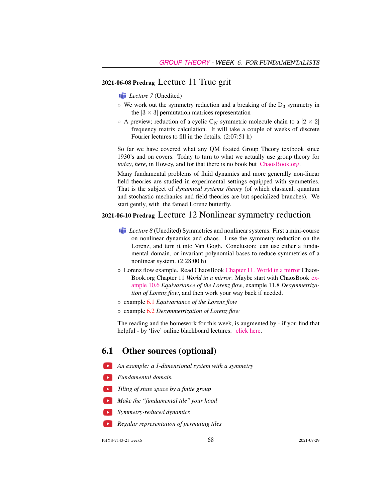#### 2021-06-08 Predrag Lecture 11 True grit

*Lecture* 7 (Unedited)

- $\circ$  We work out the symmetry reduction and a breaking of the  $D_3$  symmetry in the  $[3 \times 3]$  permutation matrices representation
- $\circ$  A preview; reduction of a cyclic C<sub>N</sub> symmetric molecule chain to a  $[2 \times 2]$ frequency matrix calculation. It will take a couple of weeks of discrete Fourier lectures to fill in the details. (2:07:51 h)

So far we have covered what any QM fixated Group Theory textbook since 1930's and on covers. Today to turn to what we actually use group theory for *today*, *here*, in Howey, and for that there is no book but [ChaosBook.org.](http://ChaosBook.org)

Many fundamental problems of fluid dynamics and more generally non-linear field theories are studied in experimental settings equipped with symmetries. That is the subject of *dynamical systems theory* (of which classical, quantum and stochastic mechanics and field theories are but specialized branches). We start gently, with the famed Lorenz butterfly.

#### 2021-06-10 Predrag Lecture 12 Nonlinear symmetry reduction

- **Lecture 8** (Unedited) Symmetries and nonlinear systems. First a mini-course on nonlinear dynamics and chaos. I use the symmetry reduction on the Lorenz, and turn it into Van Gogh. Conclusion: can use either a fundamental domain, or invariant polynomial bases to reduce symmetries of a nonlinear system. (2:28:00 h)
- Lorenz flow example. Read ChaosBook [Chapter 11. World in a mirror](http://ChaosBook.org/chapters/ChaosBook.pdf#chapter.11) Chaos-Book.org Chapter 11 *World in a mirror*. Maybe start with ChaosBook [ex](http://ChaosBook.org/chapters/ChaosBook.pdf#exmple.10.6)[ample 10.6](http://ChaosBook.org/chapters/ChaosBook.pdf#exmple.10.6) *Equivariance of the Lorenz flow*, example 11.8 *Desymmetrization of Lorenz flow*, and then work your way back if needed.
- example [6.1](#page-3-0) *Equivariance of the Lorenz flow*
- example [6.2](#page-4-0) *Desymmetrization of Lorenz flow*

The reading and the homework for this week, is augmented by - if you find that helpful - by 'live' online blackboard lectures: [click here.](http://chaosbook.org/course1/Course1w4.html)

#### 6.1 Other sources (optional)

- *An example: a 1-dimensional system with a symmetry*
- *Fundamental domain*
- *Tiling of state space by a finite group*
- *Make the "fundamental tile" your hood*
- *Symmetry-reduced dynamics*
- *Regular representation of permuting tiles*

PHYS-7143-21 week6 68 2021-07-29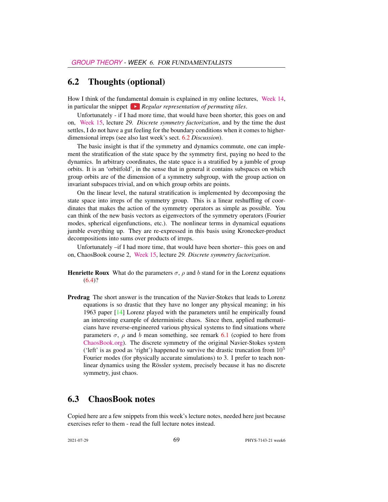#### <span id="page-2-0"></span>6.2 Thoughts (optional)

How I think of the fundamental domain is explained in my online lectures, [Week 14,](http://chaosbook.org/course1/Course2w14.html) in particular the snippet  $\blacktriangleright$  *Regular representation of permuting tiles.* 

Unfortunately - if I had more time, that would have been shorter, this goes on and on, [Week 15,](http://chaosbook.org/course1/Course2w15.html) lecture *29. Discrete symmetry factorization*, and by the time the dust settles, I do not have a gut feeling for the boundary conditions when it comes to higherdimensional irreps (see also last week's sect. [6.2](#page-2-0) *Discussion*).

The basic insight is that if the symmetry and dynamics commute, one can implement the stratification of the state space by the symmetry first, paying no heed to the dynamics. In arbitrary coordinates, the state space is a stratified by a jumble of group orbits. It is an 'orbitfold', in the sense that in general it contains subspaces on which group orbits are of the dimension of a symmetry subgroup, with the group action on invariant subspaces trivial, and on which group orbits are points.

On the linear level, the natural stratification is implemented by decomposing the state space into irreps of the symmetry group. This is a linear reshuffling of coordinates that makes the action of the symmetry operators as simple as possible. You can think of the new basis vectors as eigenvectors of the symmetry operators (Fourier modes, spherical eigenfunctions, etc.). The nonlinear terms in dynamical equations jumble everything up. They are re-expressed in this basis using Kronecker-product decompositions into sums over products of irreps.

Unfortunately –if I had more time, that would have been shorter– this goes on and on, ChaosBook course 2, [Week 15,](http://chaosbook.org/course1/Course2w15.html) lecture *29. Discrete symmetry factorization*.

- **Henriette Roux** What do the parameters  $\sigma$ ,  $\rho$  and b stand for in the Lorenz equations  $(6.4)$ ?
- Predrag The short answer is the truncation of the Navier-Stokes that leads to Lorenz equations is so drastic that they have no longer any physical meaning; in his 1963 paper [\[14\]](#page-12-0) Lorenz played with the parameters until he empirically found an interesting example of deterministic chaos. Since then, applied mathematicians have reverse-engineered various physical systems to find situations where parameters  $\sigma$ ,  $\rho$  and b mean something, see remark [6.1](#page-11-0) (copied to here from [ChaosBook.org\)](http://ChaosBook.org). The discrete symmetry of the original Navier-Stokes system ('left' is as good as 'right') happened to survive the drastic truncation from  $10<sup>5</sup>$ Fourier modes (for physically accurate simulations) to 3. I prefer to teach nonlinear dynamics using the Rössler system, precisely because it has no discrete symmetry, just chaos.

#### 6.3 ChaosBook notes

Copied here are a few snippets from this week's lecture notes, needed here just because exercises refer to them - read the full lecture notes instead.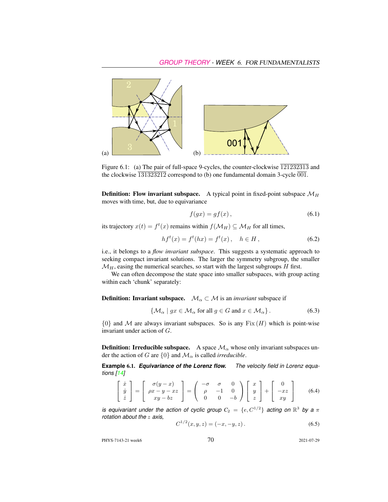

Figure 6.1: (a) The pair of full-space 9-cycles, the counter-clockwise  $\overline{121232313}$  and the clockwise  $\overline{131323212}$  correspond to (b) one fundamental domain 3-cycle  $\overline{001}$ .

**Definition:** Flow invariant subspace. A typical point in fixed-point subspace  $\mathcal{M}_H$ moves with time, but, due to equivariance

$$
f(gx) = gf(x),\tag{6.1}
$$

its trajectory  $x(t) = f^t(x)$  remains within  $f(\mathcal{M}_H) \subseteq \mathcal{M}_H$  for all times,

<span id="page-3-3"></span>
$$
hf^{t}(x) = f^{t}(hx) = f^{t}(x), \quad h \in H,
$$
\n(6.2)

i.e., it belongs to a *flow invariant subspace*. This suggests a systematic approach to seeking compact invariant solutions. The larger the symmetry subgroup, the smaller  $\mathcal{M}_H$ , easing the numerical searches, so start with the largest subgroups  $H$  first.

We can often decompose the state space into smaller subspaces, with group acting within each 'chunk' separately:

**Definition: Invariant subspace.**  $\mathcal{M}_\alpha \subset \mathcal{M}$  is an *invariant* subspace if

$$
\{ \mathcal{M}_{\alpha} \mid gx \in \mathcal{M}_{\alpha} \text{ for all } g \in G \text{ and } x \in \mathcal{M}_{\alpha} \}.
$$
 (6.3)

 ${0}$  and M are always invariant subspaces. So is any  $Fix(H)$  which is point-wise invariant under action of G.

<span id="page-3-4"></span>**Definition: Irreducible subspace.** A space  $\mathcal{M}_{\alpha}$  whose only invariant subspaces under the action of G are  $\{0\}$  and  $\mathcal{M}_{\alpha}$  is called *irreducible*.

<span id="page-3-0"></span>**Example** 6.1. *Equivariance of the Lorenz flow. The velocity field in Lorenz equations [\[14\]](#page-12-0)*

<span id="page-3-1"></span>
$$
\begin{bmatrix} \dot{x} \\ \dot{y} \\ \dot{z} \end{bmatrix} = \begin{bmatrix} \sigma(y-x) \\ \rho x - y - xz \\ xy - bz \end{bmatrix} = \begin{pmatrix} -\sigma & \sigma & 0 \\ \rho & -1 & 0 \\ 0 & 0 & -b \end{pmatrix} \begin{bmatrix} x \\ y \\ z \end{bmatrix} + \begin{bmatrix} 0 \\ -xz \\ xy \end{bmatrix}
$$
(6.4)

*is equivariant under the action of cyclic group*  $C_2 = \{e, C^{1/2}\}$  acting on  $\mathbb{R}^3$  by a  $\pi$ *rotation about the* z *axis,*

<span id="page-3-2"></span>
$$
C^{1/2}(x, y, z) = (-x, -y, z).
$$
 (6.5)

PHYS-7143-21 week6 2021-07-29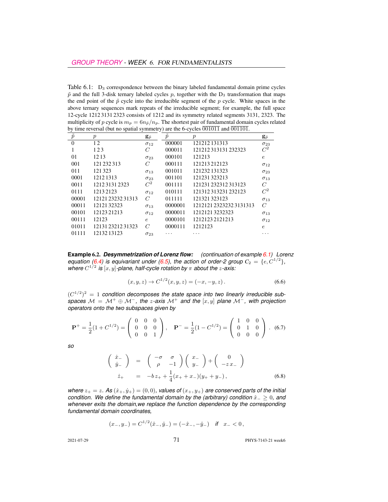<span id="page-4-2"></span>Table  $6.1$ :  $D_3$  correspondence between the binary labeled fundamental domain prime cycles  $\tilde{p}$  and the full 3-disk ternary labeled cycles p, together with the  $D_3$  transformation that maps the end point of the  $\tilde{p}$  cycle into the irreducible segment of the p cycle. White spaces in the above ternary sequences mark repeats of the irreducible segment; for example, the full space 12-cycle 1212 3131 2323 consists of 1212 and its symmetry related segments 3131, 2323. The multiplicity of p cycle is  $m_p = 6n_{\tilde{p}}/n_p$ . The shortest pair of fundamental domain cycles related by time reversal (but no spatial symmetry) are the 6-cycles  $\overline{001011}$  and  $\overline{001101}$ .

| $\tilde{p}$ | $\boldsymbol{p}$ | $\mathbf{g}_{\tilde{p}}$ | $\overline{p}$ | $\boldsymbol{p}$      | $\mathbf{g}_{\tilde{p}}$ |
|-------------|------------------|--------------------------|----------------|-----------------------|--------------------------|
| $\theta$    | 12               | $\sigma_{12}$            | 000001         | 121212131313          | $\sigma_{23}$            |
|             | 123              | C                        | 000011         | 121212313131232323    | $C^2$                    |
| 01          | 1213             | $\sigma_{23}$            | 000101         | 121213                | e                        |
| 001         | 121 232 313      | $\mathcal{C}$            | 000111         | 121213212123          | $\sigma_{12}$            |
| 011         | 121323           | $\sigma_{13}$            | 001011         | 121232 131323         | $\sigma_{23}$            |
| 0001        | 1212 1313        | $\sigma_{23}$            | 001101         | 121231323213          | $\sigma_{13}$            |
| 0011        | 121231312323     | $\mathcal{C}^2$          | 001111         | 121231 232312 313123  | C                        |
| 0111        | 12132123         | $\sigma_{12}$            | 010111         | 121312313231232123    | $C^2$                    |
| 00001       | 121212323231313  | C                        | 011111         | 121321323123          | $\sigma_{13}$            |
| 00011       | 1212132323       | $\sigma_{13}$            | 0000001        | 121212123232323131313 | $\overline{C}$           |
| 00101       | 12123 21213      | $\sigma_{12}$            | 0000011        | 12121213232323        | $\sigma_{13}$            |
| 00111       | 12123            | $\epsilon$               | 0000101        | 12121232121213        | $\sigma_{12}$            |
| 01011       | 121312321231323  | C                        | 0000111        | 1212123               | $\epsilon$               |
| 01111       | 12132 13123      | $\sigma_{23}$            |                |                       |                          |

<span id="page-4-0"></span>**Example** 6.2. *Desymmetrization of Lorenz flow: (continuation of example [6.1\)](#page-3-0) Lorenz equation [\(6.4\)](#page-3-1)* is equivariant under [\(6.5\)](#page-3-2), the action of order-2 group  $C_2 = \{e, C^{1/2}\},$ where  $C^{1/2}$  is  $[x, y]$ -plane, half-cycle rotation by  $\pi$  about the *z*-axis:

<span id="page-4-3"></span>
$$
(x, y, z) \to C^{1/2}(x, y, z) = (-x, -y, z).
$$
 (6.6)

 $(C^{1/2})^2 = 1$  condition decomposes the state space into two linearly irreducible sub*spaces*  $M = M^+ \oplus M^-$ , the *z*-axis  $M^+$  and the [x, y] plane  $M^-$ , with projection *operators onto the two subspaces given by*

$$
\mathbf{P}^{+} = \frac{1}{2}(1 + C^{1/2}) = \begin{pmatrix} 0 & 0 & 0 \\ 0 & 0 & 0 \\ 0 & 0 & 1 \end{pmatrix}, \quad \mathbf{P}^{-} = \frac{1}{2}(1 - C^{1/2}) = \begin{pmatrix} 1 & 0 & 0 \\ 0 & 1 & 0 \\ 0 & 0 & 0 \end{pmatrix}. \tag{6.7}
$$

*so*

<span id="page-4-1"></span>
$$
\begin{pmatrix}\n\dot{x}_{-} \\
\dot{y}_{-}\n\end{pmatrix} = \begin{pmatrix}\n-\sigma & \sigma \\
\rho & -1\n\end{pmatrix}\n\begin{pmatrix}\nx_{-} \\
y_{-}\n\end{pmatrix} + \begin{pmatrix}\n0 \\
-zx_{-}\n\end{pmatrix}
$$
\n
$$
\dot{z}_{+} = -bz_{+} + \frac{1}{4}(x_{+} + x_{-})(y_{+} + y_{-}),
$$
\n(6.8)

*where*  $z_+ = z$ *.* As  $(\dot{x}_+,\dot{y}_+) = (0,0)$ *, values of*  $(x_+,y_+)$  *are conserved parts of the initial condition. We define the fundamental domain by the (arbitrary) condition*  $\hat{x}_− ≥ 0$ *, and whenever exits the domain,we replace the function dependence by the corresponding fundamental domain coordinates,*

$$
(x_-, y_-) = C^{1/2}(\hat{x}_-, \hat{y}_-) = (-\hat{x}_-, -\hat{y}_-) \quad \text{if} \quad x_- < 0 \,,
$$

2021-07-29 **71** PHYS-7143-21 week6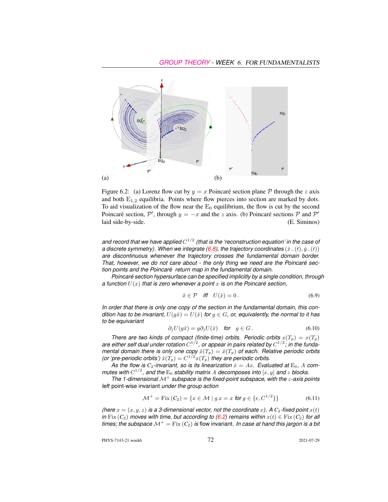

Figure 6.2: (a) Lorenz flow cut by  $y = x$  Poincaré section plane P through the z axis and both  $E_{1,2}$  equilibria. Points where flow pierces into section are marked by dots. To aid visualization of the flow near the  $E_0$  equilibrium, the flow is cut by the second Poincaré section,  $\mathcal{P}'$ , through  $y = -x$  and the z axis. (b) Poincaré sections  $\mathcal P$  and  $\mathcal P'$ laid side-by-side. (E. Siminos)

and record that we have applied  $C^{1/2}$  (that is the 'reconstruction equation' in the case of *a discrete symmetry). When we integrate [\(6.8\)](#page-4-1), the trajectory coordinates* ( $\hat{x}_-(t), \hat{y}_-(t)$ ) *are discontinuous whenever the trajectory crosses the fundamental domain border. That, however, we do not care about - the only thing we need are the Poincaré section points and the Poincaré return map in the fundamental domain.*

*Poincaré section hypersurface can be specified implicitly by a single condition, through a function* U(x) *that is zero whenever a point* x *is on the Poincaré section,*

$$
\hat{x} \in \mathcal{P} \quad \text{iff} \quad U(\hat{x}) = 0 \,. \tag{6.9}
$$

*In order that there is only one copy of the section in the fundamental domain, this condition has to be invariant,*  $U(q\hat{x}) = U(\hat{x})$  *for*  $q \in G$ *, or, equivalently, the normal to it has to be equivariant*

$$
\partial_j U(g\hat{x}) = g\partial_j U(\hat{x}) \quad \text{for} \quad g \in G. \tag{6.10}
$$

*There are two kinds of compact (finite-time) orbits. Periodic orbits*  $x(T_p) = x(T_p)$ are either self dual under rotation  $C^{1/2}$ , or appear in pairs related by  $C^{1/2}$ ; in the funda*mental domain there is only one copy*  $\hat{x}(T_p) = \hat{x}(T_p)$  *of each. Relative periodic orbits (or 'pre-periodic orbits')*  $\hat{x}(T_p) = C^{1/2}x(T_p)$  *they are periodic orbits.* 

As the flow is  $C_2$ -invariant, so is its linearization  $\dot{x} = Ax$ . Evaluated at  $E_0$ , A com*mutes with*  $C^{1/2}$ , and the  $E_0$  stability matrix A decomposes into  $[x, y]$  and z blocks.

*The 1-dimensional* M<sup>+</sup> *subspace is the fixed-point subspace, with the* z*-axis points left* point-wise invariant *under the group action*

$$
\mathcal{M}^+ = \text{Fix}\,(C_2) = \{x \in \mathcal{M} \mid g \, x = x \text{ for } g \in \{e, C^{1/2}\}\}\
$$
(6.11)

*(here*  $x = (x, y, z)$  *is a 3-dimensional vector, not the coordinate* x). A  $C_2$ -fixed point  $x(t)$ *in* Fix  $(C_2)$  *moves with time, but according to [\(6.2\)](#page-3-3) remains within*  $x(t) \in Fix(C_2)$  *for all times; the subspace*  $\mathcal{M}^+$  = Fix  $(C_2)$  *is flow invariant. In case at hand this jargon is a bit* 

PHYS-7143-21 week6 2021-07-29 2021-07-29 2021-07-29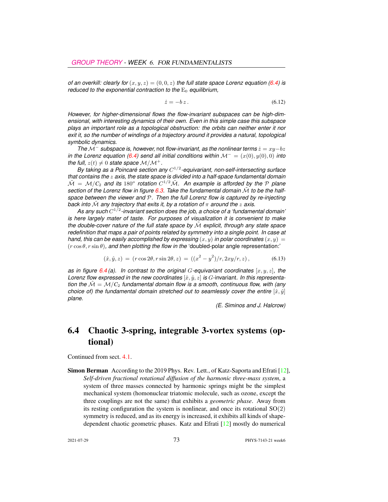*of an overkill: clearly for*  $(x, y, z) = (0, 0, z)$  *the full state space Lorenz equation* [\(6.4\)](#page-3-1) *is reduced to the exponential contraction to the*  $E_0$  *equilibrium,* 

<span id="page-6-1"></span>
$$
\dot{z} = -bz \,. \tag{6.12}
$$

*However, for higher-dimensional flows the flow-invariant subspaces can be high-dimensional, with interesting dynamics of their own. Even in this simple case this subspace plays an important role as a topological obstruction: the orbits can neither enter it nor exit it, so the number of windings of a trajectory around it provides a natural, topological symbolic dynamics.*

*The*  $M^-$  *subspace is, however, not flow-invariant, as the nonlinear terms*  $\dot{z} = xy - bz$ *in the Lorenz equation*  $(6.4)$  *send all initial conditions within*  $\mathcal{M}^- = (x(0), y(0), 0)$  *into the full,*  $z(t) \neq 0$  *state space*  $\mathcal{M}/\mathcal{M}^+$ .

By taking as a Poincaré section any  $C^{1/2}$ -equivariant, non-self-intersecting surface *that contains the* z *axis, the state space is divided into a half-space fundamental domain*  $\tilde{\cal M}$  =  ${\cal M}/C_2$  and its 180° rotation  $C^{1/2}\tilde{\cal M}$ . An example is afforded by the P plane section of the Lorenz flow in figure  $6.3$ . Take the fundamental domain  $\tilde{M}$  to be the half*space between the viewer and* P*. Then the full Lorenz flow is captured by re-injecting back into*  $\tilde{M}$  *any trajectory that exits it, by a rotation of*  $\pi$  *around the* z *axis.* 

*As any such* C 1/2 *-invariant section does the job, a choice of a 'fundamental domain' is here largely mater of taste. For purposes of visualization it is convenient to make the double-cover nature of the full state space by*  $\tilde{M}$  *explicit, through any state space redefinition that maps a pair of points related by symmetry into a single point. In case at hand, this can be easily accomplished by expressing*  $(x, y)$  *in polar coordinates*  $(x, y) =$  $(r \cos \theta, r \sin \theta)$ *, and then plotting the flow in the 'doubled-polar angle representation:'* 

<span id="page-6-0"></span>
$$
(\hat{x}, \hat{y}, z) = (r \cos 2\theta, r \sin 2\theta, z) = ((x^2 - y^2)/r, 2xy/r, z), \tag{6.13}
$$

*as in figure*  $6.4$  (a). In contrast to the original G-equivariant coordinates  $[x, y, z]$ , the *Lorenz flow expressed in the new coordinates*  $[\hat{x}, \hat{y}, z]$  *is G*-invariant. In this representa*tion the*  $M = M/C_2$  *fundamental domain flow is a smooth, continuous flow, with (any choice of) the fundamental domain stretched out to seamlessly cover the entire*  $[\hat{x}, \hat{y}]$ *plane.*

*(E. Siminos and J. Halcrow)*

## 6.4 Chaotic 3-spring, integrable 3-vortex systems (optional)

Continued from sect. 4.1.

Simon Berman According to the 2019 Phys. Rev. Lett., of Katz-Saporta and Efrati [\[12\]](#page-12-1), *Self-driven fractional rotational diffusion of the harmonic three-mass system*, a system of three masses connected by harmonic springs might be the simplest mechanical system (homonuclear triatomic molecule, such as ozone, except the three couplings are not the same) that exhibits a *geometric phase*. Away from its resting configuration the system is nonlinear, and once its rotational  $SO(2)$ symmetry is reduced, and as its energy is increased, it exhibits all kinds of shapedependent chaotic geometric phases. Katz and Efrati [\[12\]](#page-12-1) mostly do numerical

2021-07-29 73 PHYS-7143-21 week6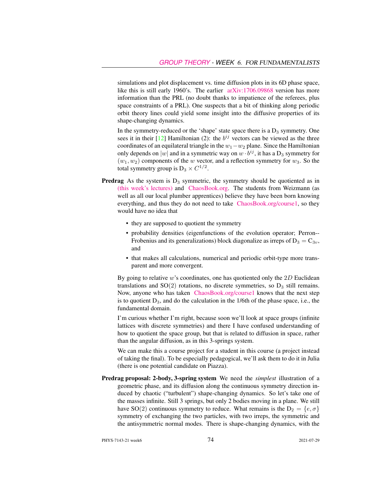simulations and plot displacement vs. time diffusion plots in its 6D phase space, like this is still early 1960's. The earlier [arXiv:1706.09868](http://arXiv.org/abs/1706.09868) version has more information than the PRL (no doubt thanks to impatience of the referees, plus space constraints of a PRL). One suspects that a bit of thinking along periodic orbit theory lines could yield some insight into the diffusive properties of its shape-changing dynamics.

In the symmetry-reduced or the 'shape' state space there is a  $D_3$  symmetry. One sees it in their [\[12\]](#page-12-1) Hamiltonian (2): the  $b^{ij}$  vectors can be viewed as the three coordinates of an equilateral triangle in the  $w_1-w_2$  plane. Since the Hamiltonian only depends on  $|w|$  and in a symmetric way on  $w \cdot b^{ij}$ , it has a  $D_3$  symmetry for  $(w_1, w_2)$  components of the w vector, and a reflection symmetry for  $w_3$ . So the total symmetry group is  $D_3 \times C^{1/2}$ .

- **Predrag** As the system is  $D_3$  symmetric, the symmetry should be quotiented as in [\(this week's lectures\)](http://birdtracks.eu/course3/week6.pdf) and [ChaosBook.org.](http://ChaosBook.org) The students from Weizmann (as well as all our local plumber apprentices) believe they have been born knowing everything, and thus they do not need to take [ChaosBook.org/course1,](http://ChaosBook.org/course1) so they would have no idea that
	- they are supposed to quotient the symmetry
	- probability densities (eigenfunctions of the evolution operator; Perron-- Frobenius and its generalizations) block diagonalize as irreps of  $D_3 = C_{3v}$ , and
	- that makes all calculations, numerical and periodic orbit-type more transparent and more convergent.

By going to relative  $w$ 's coordinates, one has quotiented only the  $2D$  Euclidean translations and  $SO(2)$  rotations, no discrete symmetries, so  $D_3$  still remains. Now, anyone who has taken [ChaosBook.org/course1](http://ChaosBook.org/course1) knows that the next step is to quotient  $D_3$ , and do the calculation in the 1/6th of the phase space, i.e., the fundamental domain.

I'm curious whether I'm right, because soon we'll look at space groups (infinite lattices with discrete symmetries) and there I have confused understanding of how to quotient the space group, but that is related to diffusion in space, rather than the angular diffusion, as in this 3-springs system.

We can make this a course project for a student in this course (a project instead of taking the final). To be especially pedagogical, we'll ask them to do it in Julia (there is one potential candidate on Piazza).

Predrag proposal: 2-body, 3-spring system We need the *simplest* illustration of a geometric phase, and its diffusion along the continuous symmetry direction induced by chaotic ("turbulent") shape-changing dynamics. So let's take one of the masses infinite. Still 3 springs, but only 2 bodies moving in a plane. We still have SO(2) continuous symmetry to reduce. What remains is the  $D_2 = \{e, \sigma\}$ symmetry of exchanging the two particles, with two irreps, the symmetric and the antisymmetric normal modes. There is shape-changing dynamics, with the

PHYS-7143-21 week6 74 2021-07-29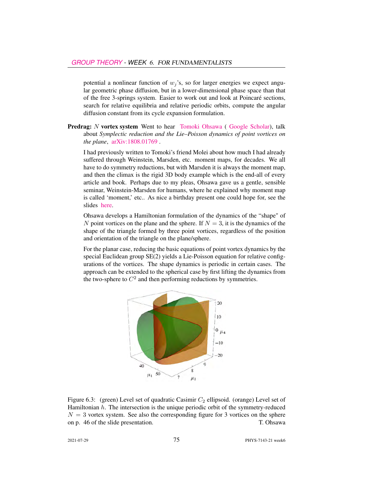potential a nonlinear function of  $w_j$ 's, so for larger energies we expect angular geometric phase diffusion, but in a lower-dimensional phase space than that of the free 3-springs system. Easier to work out and look at Poincaré sections, search for relative equilibria and relative periodic orbits, compute the angular diffusion constant from its cycle expansion formulation.

**Predrag:** N vortex system Went to hear [Tomoki Ohsawa](https://www.utdallas.edu/~tomoki/) ([Google Scholar\)](https://scholar.google.com/citations?hl=en&user=v0b-7O0AAAAJ&view_op=list_works&sortby=pubdate), talk about *Symplectic reduction and the Lie–Poisson dynamics of point vortices on the plane*, [arXiv:1808.01769](http://arXiv.org/abs/1808.01769) .

I had previously written to Tomoki's friend Molei about how much I had already suffered through Weinstein, Marsden, etc. moment maps, for decades. We all have to do symmetry reductions, but with Marsden it is always the moment map, and then the climax is the rigid 3D body example which is the end-all of every article and book. Perhaps due to my pleas, Ohsawa gave us a gentle, sensible seminar, Weinstein-Marsden for humans, where he explained why moment map is called 'moment,' etc.. As nice a birthday present one could hope for, see the slides [here.](http://utdallas.edu/~tomoki/slides/GeorgiaTech-April2019.pdf)

Ohsawa develops a Hamiltonian formulation of the dynamics of the "shape" of N point vortices on the plane and the sphere. If  $N = 3$ , it is the dynamics of the shape of the triangle formed by three point vortices, regardless of the position and orientation of the triangle on the plane/sphere.

For the planar case, reducing the basic equations of point vortex dynamics by the special Euclidean group SE(2) yields a Lie-Poisson equation for relative configurations of the vortices. The shape dynamics is periodic in certain cases. The approach can be extended to the spherical case by first lifting the dynamics from the two-sphere to  $C^2$  and then performing reductions by symmetries.



<span id="page-8-0"></span>Figure 6.3: (green) Level set of quadratic Casimir  $C_2$  ellipsoid. (orange) Level set of Hamiltonian  $h$ . The intersection is the unique periodic orbit of the symmetry-reduced  $N = 3$  vortex system. See also the corresponding figure for 3 vortices on the sphere on p. 46 of the slide presentation. T. Ohsawa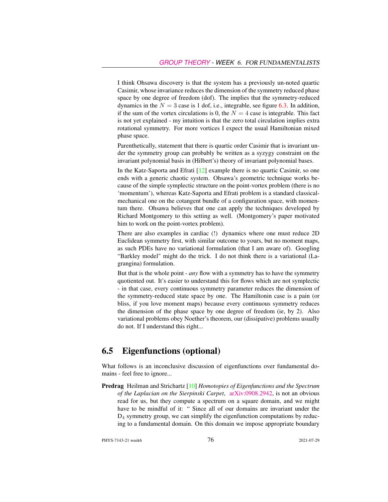I think Ohsawa discovery is that the system has a previously un-noted quartic Casimir, whose invariance reduces the dimension of the symmetry reduced phase space by one degree of freedom (dof). The implies that the symmetry-reduced dynamics in the  $N = 3$  case is 1 dof, i.e., integrable, see figure [6.3.](#page-8-0) In addition, if the sum of the vortex circulations is 0, the  $N = 4$  case is integrable. This fact is not yet explained - my intuition is that the zero total circulation implies extra rotational symmetry. For more vortices I expect the usual Hamiltonian mixed phase space.

Parenthetically, statement that there is quartic order Casimir that is invariant under the symmetry group can probably be written as a syzygy constraint on the invariant polynomial basis in (Hilbert's) theory of invariant polynomial bases.

In the Katz-Saporta and Efrati [\[12\]](#page-12-1) example there is no quartic Casimir, so one ends with a generic chaotic system. Ohsawa's geometric technique works because of the simple symplectic structure on the point-vortex problem (there is no 'momentum'), whereas Katz-Saporta and Efrati problem is a standard classicalmechanical one on the cotangent bundle of a configuration space, with momentum there. Ohsawa believes that one can apply the techniques developed by Richard Montgomery to this setting as well. (Montgomery's paper motivated him to work on the point-vortex problem).

There are also examples in cardiac (!) dynamics where one must reduce 2D Euclidean symmetry first, with similar outcome to yours, but no moment maps, as such PDEs have no variational formulation (that I am aware of). Googling "Barkley model" might do the trick. I do not think there is a variational (Lagrangina) formulation.

But that is the whole point - *any* flow with a symmetry has to have the symmetry quotiented out. It's easier to understand this for flows which are not symplectic - in that case, every continuous symmetry parameter reduces the dimension of the symmetry-reduced state space by one. The Hamiltonin case is a pain (or bliss, if you love moment maps) because every continuous symmetry reduces the dimension of the phase space by one degree of freedom (ie, by 2). Also variational problems obey Noether's theorem, our (dissipative) problems usually do not. If I understand this right...

## 6.5 Eigenfunctions (optional)

What follows is an inconclusive discussion of eigenfunctions over fundamental domains - feel free to ignore...

Predrag Heilman and Strichartz [\[10\]](#page-12-2) *Homotopies of Eigenfunctions and the Spectrum of the Laplacian on the Sierpinski Carpet*, [arXiv:0908.2942,](http://arXiv.org/abs/0908.2942) is not an obvious read for us, but they compute a spectrum on a square domain, and we might have to be mindful of it: " Since all of our domains are invariant under the  $D_4$  symmetry group, we can simplify the eigenfunction computations by reducing to a fundamental domain. On this domain we impose appropriate boundary

PHYS-7143-21 week6 2021-07-29 2021-07-29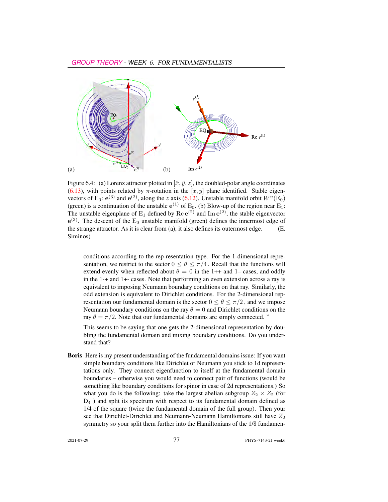

Figure 6.4: (a) Lorenz attractor plotted in  $[\hat{x}, \hat{y}, z]$ , the doubled-polar angle coordinates [\(6.13\)](#page-6-0), with points related by  $\pi$ -rotation in the  $[x, y]$  plane identified. Stable eigenvectors of E<sub>0</sub>:  $e^{(3)}$  and  $e^{(2)}$ , along the z axis [\(6.12\)](#page-6-1). Unstable manifold orbit  $W^u(\text{E}_0)$ (green) is a continuation of the unstable  $e^{(1)}$  of  $E_0$ . (b) Blow-up of the region near  $E_1$ : The unstable eigenplane of  $E_1$  defined by  $\text{Re }e^{(2)}$  and  $\text{Im }e^{(2)}$ , the stable eigenvector  $e^{(3)}$ . The descent of the  $E_0$  unstable manifold (green) defines the innermost edge of the strange attractor. As it is clear from (a), it also defines its outermost edge. (E. Siminos)

conditions according to the rep-resentation type. For the 1-dimensional representation, we restrict to the sector  $0 \le \theta \le \pi/4$ . Recall that the functions will extend evenly when reflected about  $\theta = 0$  in the 1++ and 1– cases, and oddly in the 1-+ and 1+- cases. Note that performing an even extension across a ray is equivalent to imposing Neumann boundary conditions on that ray. Similarly, the odd extension is equivalent to Dirichlet conditions. For the 2-dimensional representation our fundamental domain is the sector  $0 \le \theta \le \pi/2$ , and we impose Neumann boundary conditions on the ray  $\theta = 0$  and Dirichlet conditions on the ray  $\theta = \pi/2$ . Note that our fundamental domains are simply connected. "

This seems to be saying that one gets the 2-dimensional representation by doubling the fundamental domain and mixing boundary conditions. Do you understand that?

Boris Here is my present understanding of the fundamental domains issue: If you want simple boundary conditions like Dirichlet or Neumann you stick to 1d representations only. They connect eigenfunction to itself at the fundamental domain boundaries – otherwise you would need to connect pair of functions (would be something like boundary conditions for spinor in case of 2d representations.) So what you do is the following: take the largest abelian subgroup  $Z_2 \times Z_2$  (for  $D_4$ ) and split its spectrum with respect to its fundamental domain defined as 1/4 of the square (twice the fundamental domain of the full group). Then your see that Dirichlet-Dirichlet and Neumann-Neumann Hamiltonians still have  $Z_2$ symmetry so your split them further into the Hamiltonians of the 1/8 fundamen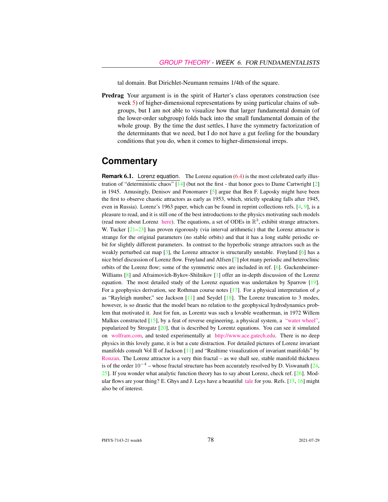tal domain. But Dirichlet-Neumann remains 1/4th of the square.

Predrag Your argument is in the spirit of Harter's class operators construction (see week 5) of higher-dimensional representations by using particular chains of subgroups, but I am not able to visualize how that larger fundamental domain (of the lower-order subgroup) folds back into the small fundamental domain of the whole group. By the time the dust settles, I have the symmetry factorization of the determinants that we need, but I do not have a gut feeling for the boundary conditions that you do, when it comes to higher-dimensional irreps.

#### **Commentary**

<span id="page-11-0"></span>**Remark 6.1.** Lorenz equation. The Lorenz equation [\(6.4\)](#page-3-1) is the most celebrated early illustration of "deterministic chaos" [\[14\]](#page-12-0) (but not the first - that honor goes to Dame Cartwright [\[2\]](#page-12-3) in 1945. Amusingly, Denisov and Ponomarev  $[5]$  argue that Ben F. Laposky might have been the first to observe chaotic attractors as early as 1953, which, strictly speaking falls after 1945, even in Russia). Lorenz's 1963 paper, which can be found in reprint collections refs. [\[4,](#page-12-5) [9\]](#page-12-6), is a pleasure to read, and it is still one of the best introductions to the physics motivating such models (read more about Lorenz [here\)](http://web.mit.edu/lorenzcenter/about/lorenz.html). The equations, a set of ODEs in  $\mathbb{R}^3$ , exhibit strange attractors. W. Tucker  $[21-23]$  $[21-23]$  has proven rigorously (via interval arithmetic) that the Lorenz attractor is strange for the original parameters (no stable orbits) and that it has a long stable periodic orbit for slightly different parameters. In contrast to the hyperbolic strange attractors such as the weakly perturbed cat map  $\lceil 3 \rceil$ , the Lorenz attractor is structurally unstable. Frøyland  $\lceil 6 \rceil$  has a nice brief discussion of Lorenz flow. Frøyland and Alfsen [\[7\]](#page-12-9) plot many periodic and heteroclinic orbits of the Lorenz flow; some of the symmetric ones are included in ref. [\[6\]](#page-12-8). Guckenheimer-Williams [\[8\]](#page-12-10) and Afraimovich-Bykov-Shilnikov [\[1\]](#page-12-11) offer an in-depth discussion of the Lorenz equation. The most detailed study of the Lorenz equation was undertaken by Sparrow [\[19\]](#page-12-12). For a geophysics derivation, see Rothman course notes [\[17\]](#page-12-13). For a physical interpretation of  $\rho$ as "Rayleigh number," see Jackson  $[11]$  and Seydel  $[18]$ . The Lorenz truncation to 3 modes, however, is so drastic that the model bears no relation to the geophysical hydrodynamics problem that motivated it. Just for fun, as Lorentz was such a lovable weatherman, in 1972 Willem Malkus constructed [\[15\]](#page-12-16), by a feat of reverse engineering, a physical system, a ["water wheel",](http://www.math.cornell.edu/~lipa/mec/lesson1.html) popularized by Strogatz [\[20\]](#page-12-17), that is described by Lorentz equations. You can see it simulated on [wolfram.com,](http://demonstrations.wolfram.com/LorenzsWaterWheel/) and tested experimentally at [http://www.ace.gatech.edu.](http://www.ace.gatech.edu/experiments2/2413/lorenz/fall02/) There is no deep physics in this lovely game, it is but a cute distraction. For detailed pictures of Lorenz invariant manifolds consult Vol II of Jackson [\[11\]](#page-12-14) and "Realtime visualization of invariant manifolds" by [Ronzan.](https://www.youtube.com/watch?v=pDMUTYHVMzw) The Lorenz attractor is a very thin fractal – as we shall see, stable manifold thickness is of the order  $10^{-4}$  – whose fractal structure has been accurately resolved by D. Viswanath [\[24,](#page-13-4) [25\]](#page-13-5). If you wonder what analytic function theory has to say about Lorenz, check ref. [\[26\]](#page-13-6). Modular flows are your thing? E. Ghys and J. Leys have a beautiful [tale](http://www.josleys.com/articles/ams_article/Lorenz3.htm) for you. Refs. [\[13,](#page-12-18) [16\]](#page-12-19) might also be of interest.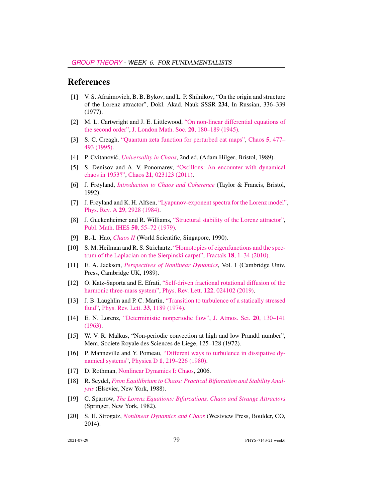#### References

- <span id="page-12-11"></span>[1] V. S. Afraimovich, B. B. Bykov, and L. P. Shilnikov, "On the origin and structure of the Lorenz attractor", Dokl. Akad. Nauk SSSR 234, In Russian, 336–339 (1977).
- <span id="page-12-3"></span>[2] M. L. Cartwright and J. E. Littlewood, ["On non-linear differential equations of](http://dx.doi.org/10.1112/jlms/s1-20.3.180) [the second order",](http://dx.doi.org/10.1112/jlms/s1-20.3.180) [J. London Math. Soc.](https://doi.org/10.1112/jlms/s1-20.3.180) 20, 180–189 (1945).
- <span id="page-12-7"></span>[3] S. C. Creagh, ["Quantum zeta function for perturbed cat maps",](http://dx.doi.org/10.1063/1.166119) Chaos 5[, 477–](https://doi.org/10.1063/1.166119) [493 \(1995\).](https://doi.org/10.1063/1.166119)
- <span id="page-12-5"></span>[4] P. Cvitanović, *[Universality in Chaos](http://dx.doi.org/10.1201/9780203734636)*, 2nd ed. (Adam Hilger, Bristol, 1989).
- <span id="page-12-4"></span>[5] S. Denisov and A. V. Ponomarev, ["Oscillons: An encounter with dynamical](http://dx.doi.org/10.1063/1.3562545) [chaos in 1953?",](http://dx.doi.org/10.1063/1.3562545) Chaos 21[, 023123 \(2011\).](https://doi.org/10.1063/1.3562545)
- <span id="page-12-8"></span>[6] J. Frøyland, *[Introduction to Chaos and Coherence](http://books.google.com/books?vid=ISBN9780750301954)* (Taylor & Francis, Bristol, 1992).
- <span id="page-12-9"></span>[7] J. Frøyland and K. H. Alfsen, ["Lyapunov-exponent spectra for the Lorenz model",](http://dx.doi.org/10.1103/physreva.29.2928) Phys. Rev. A 29[, 2928 \(1984\).](https://doi.org/10.1103/physreva.29.2928)
- <span id="page-12-10"></span>[8] J. Guckenheimer and R. Williams, ["Structural stability of the Lorenz attractor",](http://dx.doi.org/10.1007/BF02684769.pdf) [Publ. Math. IHES](https://doi.org/10.1007/BF02684769.pdf) 50, 55–72 (1979).
- <span id="page-12-6"></span>[9] B.-L. Hao, *[Chaos II](http://dx.doi.org/10.1142/1001)* (World Scientific, Singapore, 1990).
- <span id="page-12-2"></span>[10] S. M. Heilman and R. S. Strichartz, ["Homotopies of eigenfunctions and the spec](http://dx.doi.org/10.1142/S0218348X10004750)[trum of the Laplacian on the Sierpinski carpet",](http://dx.doi.org/10.1142/S0218348X10004750) Fractals 18[, 1–34 \(2010\).](https://doi.org/10.1142/S0218348X10004750)
- <span id="page-12-14"></span>[11] E. A. Jackson, *[Perspectives of Nonlinear Dynamics](http://dx.doi.org/10.1017/cbo9780511623974)*, Vol. 1 (Cambridge Univ. Press, Cambridge UK, 1989).
- <span id="page-12-1"></span>[12] O. Katz-Saporta and E. Efrati, ["Self-driven fractional rotational diffusion of the](http://dx.doi.org/10.1103/physrevlett.122.024102) [harmonic three-mass system",](http://dx.doi.org/10.1103/physrevlett.122.024102) Phys. Rev. Lett. 122[, 024102 \(2019\).](https://doi.org/10.1103/physrevlett.122.024102)
- <span id="page-12-18"></span>[13] J. B. Laughlin and P. C. Martin, ["Transition to turbulence of a statically stressed](http://dx.doi.org/10.1103/physrevlett.33.1189) [fluid",](http://dx.doi.org/10.1103/physrevlett.33.1189) [Phys. Rev. Lett.](https://doi.org/10.1103/physrevlett.33.1189) 33, 1189 (1974).
- <span id="page-12-0"></span>[14] E. N. Lorenz, ["Deterministic nonperiodic flow",](http://dx.doi.org/10.1175/1520-0469(1963)020<0130:DNF>2.0.CO;2) [J. Atmos. Sci.](https://doi.org/10.1175/1520-0469(1963)020<0130:DNF>2.0.CO;2) 20, 130–141 [\(1963\).](https://doi.org/10.1175/1520-0469(1963)020<0130:DNF>2.0.CO;2)
- <span id="page-12-16"></span>[15] W. V. R. Malkus, "Non-periodic convection at high and low Prandtl number", Mem. Societe Royale des Sciences de Liege, 125–128 (1972).
- <span id="page-12-19"></span>[16] P. Manneville and Y. Pomeau, ["Different ways to turbulence in dissipative dy](http://dx.doi.org/10.1016/0167-2789(80)90013-5)[namical systems",](http://dx.doi.org/10.1016/0167-2789(80)90013-5) Physica D 1[, 219–226 \(1980\).](https://doi.org/10.1016/0167-2789(80)90013-5)
- <span id="page-12-13"></span>[17] D. Rothman, [Nonlinear Dynamics I: Chaos,](https://dspace.mit.edu/bitstream/handle/1721.1/84612/12-006j-fall-2006/contents/index.htm) 2006.
- <span id="page-12-15"></span>[18] R. Seydel, *[From Equilibrium to Chaos: Practical Bifurcation and Stability Anal](http://euklid.mi.uni-koeln.de/~seydel/buch2.html)[ysis](http://euklid.mi.uni-koeln.de/~seydel/buch2.html)* (Elsevier, New York, 1988).
- <span id="page-12-12"></span>[19] C. Sparrow, *[The Lorenz Equations: Bifurcations, Chaos and Strange Attractors](http://dx.doi.org/10.1007/978-1-4612-5767-7)* (Springer, New York, 1982).
- <span id="page-12-17"></span>[20] S. H. Strogatz, *[Nonlinear Dynamics and Chaos](http://dx.doi.org/10.1201/9780429492563)* (Westview Press, Boulder, CO, 2014).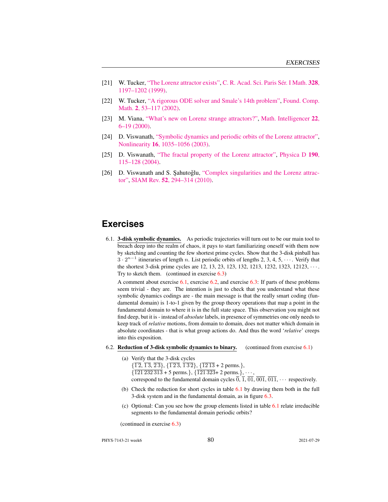- <span id="page-13-2"></span>[21] W. Tucker, ["The Lorenz attractor exists",](http://dx.doi.org/10.1016/s0764-4442(99)80439-x) [C. R. Acad. Sci. Paris Sér. I Math.](https://doi.org/10.1016/s0764-4442(99)80439-x) 328, [1197–1202 \(1999\).](https://doi.org/10.1016/s0764-4442(99)80439-x)
- [22] W. Tucker, ["A rigorous ODE solver and Smale's 14th problem",](http://dx.doi.org/10.1007/s002080010018) [Found. Comp.](https://doi.org/10.1007/s002080010018) Math. 2[, 53–117 \(2002\).](https://doi.org/10.1007/s002080010018)
- <span id="page-13-3"></span>[23] M. Viana, ["What's new on Lorenz strange attractors?",](http://dx.doi.org/10.1007/bf03025276) [Math. Intelligencer](https://doi.org/10.1007/bf03025276) 22, [6–19 \(2000\).](https://doi.org/10.1007/bf03025276)
- <span id="page-13-4"></span>[24] D. Viswanath, ["Symbolic dynamics and periodic orbits of the Lorenz attractor",](http://dx.doi.org/10.1088/0951-7715/16/3/314) Nonlinearity 16[, 1035–1056 \(2003\).](https://doi.org/10.1088/0951-7715/16/3/314)
- <span id="page-13-5"></span>[25] D. Viswanath, ["The fractal property of the Lorenz attractor",](http://dx.doi.org/10.1016/j.physd.2003.10.006) [Physica D](https://doi.org/10.1016/j.physd.2003.10.006) 190, [115–128 \(2004\).](https://doi.org/10.1016/j.physd.2003.10.006)
- <span id="page-13-6"></span>[26] D. Viswanath and S. Şahutoğlu, ["Complex singularities and the Lorenz attrac](http://dx.doi.org/10.1137/090753474)[tor",](http://dx.doi.org/10.1137/090753474) SIAM Rev. 52[, 294–314 \(2010\).](https://doi.org/10.1137/090753474)

## **Exercises**

<span id="page-13-0"></span>6.1. 3-disk symbolic dynamics. As periodic trajectories will turn out to be our main tool to breach deep into the realm of chaos, it pays to start familiarizing oneself with them now by sketching and counting the few shortest prime cycles. Show that the 3-disk pinball has  $3 \cdot 2^{n-1}$  itineraries of length n. List periodic orbits of lengths 2, 3, 4, 5,  $\cdots$ . Verify that the shortest 3-disk prime cycles are 12, 13, 23, 123, 132, 1213, 1232, 1323, 12123, · · · . Try to sketch them. (continued in exercise  $6.3$ )

A comment about exercise  $6.1$ , exercise  $6.2$ , and exercise  $6.3$ : If parts of these problems seem trivial - they are. The intention is just to check that you understand what these symbolic dynamics codings are - the main message is that the really smart coding (fundamental domain) is 1-to-1 given by the group theory operations that map a point in the fundamental domain to where it is in the full state space. This observation you might not find deep, but it is - instead of *absolute* labels, in presence of symmetries one only needs to keep track of *relative* motions, from domain to domain, does not matter which domain in absolute coordinates - that is what group actions do. And thus the word '*relative*' creeps into this exposition.

- <span id="page-13-1"></span>6.2. Reduction of 3-disk symbolic dynamics to binary. (continued from exercise  $6.1$ )
	- (a) Verify that the 3-disk cycles
		- $\{\overline{12}, \overline{13}, \overline{23}\}, \{\overline{123}, \overline{132}\}, \{\overline{1213} + 2 \text{ perms.}\},\$  $\{\overline{121\,232\,313} + 5$  perms.},  $\{\overline{121\,323} + 2$  perms.},  $\cdots$ ,
		- correspond to the fundamental domain cycles  $\overline{0}$ ,  $\overline{1}$ ,  $\overline{01}$ ,  $\overline{001}$ ,  $\overline{011}$ ,  $\cdots$  respectively.
	- (b) Check the reduction for short cycles in table [6.1](#page-4-2) by drawing them both in the full 3-disk system and in the fundamental domain, as in figure [6.3.](#page-3-4)
	- (c) Optional: Can you see how the group elements listed in table [6.1](#page-4-2) relate irreducible segments to the fundamental domain periodic orbits?

(continued in exercise [6.3\)](#page-14-0)

PHYS-7143-21 week6 80 2021-07-29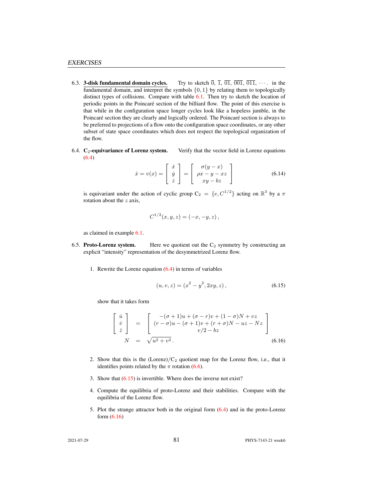- <span id="page-14-0"></span>6.3. **3-disk fundamental domain cycles.** Try to sketch  $\overline{0}$ ,  $\overline{1}$ ,  $\overline{01}$ ,  $\overline{001}$ ,  $\overline{011}$ ,  $\cdots$  in the fundamental domain, and interpret the symbols  $\{0, 1\}$  by relating them to topologically distinct types of collisions. Compare with table [6.1.](#page-4-2) Then try to sketch the location of periodic points in the Poincaré section of the billiard flow. The point of this exercise is that while in the configuration space longer cycles look like a hopeless jumble, in the Poincaré section they are clearly and logically ordered. The Poincaré section is always to be preferred to projections of a flow onto the configuration space coordinates, or any other subset of state space coordinates which does not respect the topological organization of the flow.
- <span id="page-14-1"></span>6.4.  $C_2$ -equivariance of Lorenz system. Verify that the vector field in Lorenz equations  $(6.4)$

$$
\dot{x} = v(x) = \begin{bmatrix} \dot{x} \\ \dot{y} \\ \dot{z} \end{bmatrix} = \begin{bmatrix} \sigma(y - x) \\ \rho x - y - xz \\ xy - bz \end{bmatrix}
$$
(6.14)

is equivariant under the action of cyclic group  $C_2 = \{e, C^{1/2}\}\$ acting on  $\mathbb{R}^3$  by a  $\pi$ rotation about the  $z$  axis,

$$
C^{1/2}(x, y, z) = (-x, -y, z),
$$

as claimed in example [6.1.](#page-3-0)

- <span id="page-14-2"></span>6.5. Proto-Lorenz system. Here we quotient out the  $C_2$  symmetry by constructing an explicit "intensity" representation of the desymmetrized Lorenz flow.
	- 1. Rewrite the Lorenz equation  $(6.4)$  in terms of variables

<span id="page-14-3"></span>
$$
(u, v, z) = (x2 – y2, 2xy, z), \t\t(6.15)
$$

show that it takes form

<span id="page-14-4"></span>
$$
\begin{bmatrix}\n\dot{u} \\
\dot{v} \\
\dot{z}\n\end{bmatrix} = \begin{bmatrix}\n-(\sigma+1)u + (\sigma-r)v + (1-\sigma)N + vz \\
(r-\sigma)u - (\sigma+1)v + (r+\sigma)N - uz - Nz \\
v/2 - bz\n\end{bmatrix}
$$
\n(6.16)

- 2. Show that this is the  $(Lorenz)/C_2$  quotient map for the Lorenz flow, i.e., that it identifies points related by the  $\pi$  rotation [\(6.6\)](#page-4-3).
- 3. Show that [\(6.15\)](#page-14-3) is invertible. Where does the inverse not exist?
- 4. Compute the equilibria of proto-Lorenz and their stabilities. Compare with the equilibria of the Lorenz flow.
- 5. Plot the strange attractor both in the original form [\(6.4\)](#page-3-1) and in the proto-Lorenz form [\(6.16\)](#page-14-4)